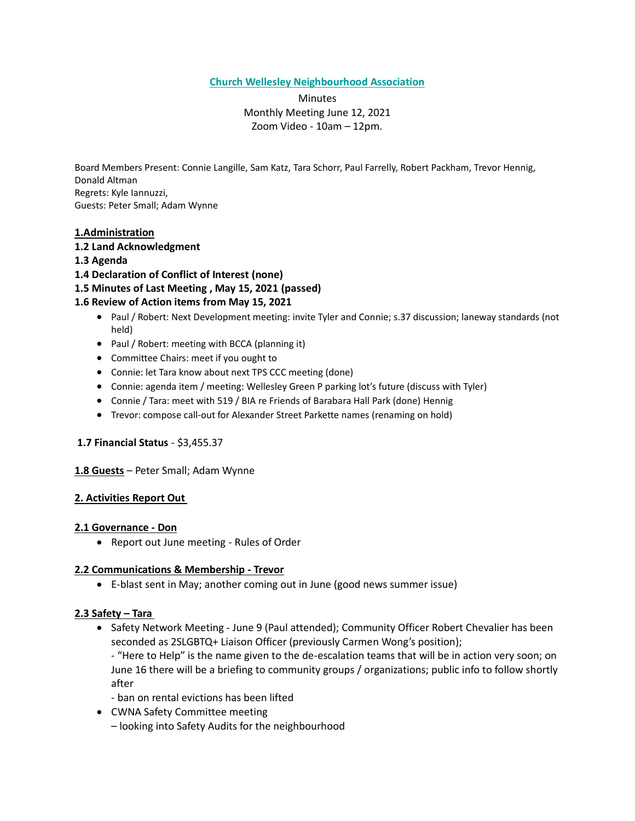**Church Wellesley Neighbourhood Association**

**Minutes** Monthly Meeting June 12, 2021 Zoom Video - 10am – 12pm.

Board Members Present: Connie Langille, Sam Katz, Tara Schorr, Paul Farrelly, Robert Packham, Trevor Hennig, Donald Altman Regrets: Kyle Iannuzzi, Guests: Peter Small; Adam Wynne

# **1.Administration**

- **1.2 Land Acknowledgment**
- **1.3 Agenda**
- **1.4 Declaration of Conflict of Interest (none)**
- **1.5 Minutes of Last Meeting , May 15, 2021 (passed)**

## **1.6 Review of Action items from May 15, 2021**

- Paul / Robert: Next Development meeting: invite Tyler and Connie; s.37 discussion; laneway standards (not held)
- Paul / Robert: meeting with BCCA (planning it)
- Committee Chairs: meet if you ought to
- Connie: let Tara know about next TPS CCC meeting (done)
- Connie: agenda item / meeting: Wellesley Green P parking lot's future (discuss with Tyler)
- Connie / Tara: meet with 519 / BIA re Friends of Barabara Hall Park (done) Hennig
- Trevor: compose call-out for Alexander Street Parkette names (renaming on hold)

## **1.7 Financial Status** - \$3,455.37

## **1.8 Guests** – Peter Small; Adam Wynne

## **2. Activities Report Out**

## **2.1 Governance - Don**

• Report out June meeting - Rules of Order

## **2.2 Communications & Membership - Trevor**

• E-blast sent in May; another coming out in June (good news summer issue)

# **2.3 Safety – Tara**

• Safety Network Meeting - June 9 (Paul attended); Community Officer Robert Chevalier has been seconded as 2SLGBTQ+ Liaison Officer (previously Carmen Wong's position);

- "Here to Help" is the name given to the de-escalation teams that will be in action very soon; on June 16 there will be a briefing to community groups / organizations; public info to follow shortly after

- ban on rental evictions has been lifted
- CWNA Safety Committee meeting
	- looking into Safety Audits for the neighbourhood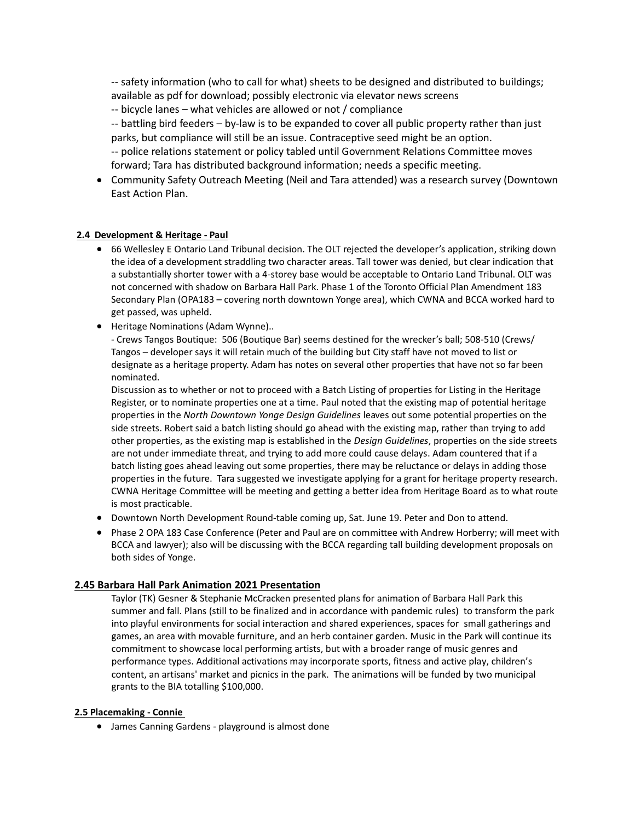-- safety information (who to call for what) sheets to be designed and distributed to buildings; available as pdf for download; possibly electronic via elevator news screens

-- bicycle lanes – what vehicles are allowed or not / compliance

-- battling bird feeders – by-law is to be expanded to cover all public property rather than just parks, but compliance will still be an issue. Contraceptive seed might be an option. -- police relations statement or policy tabled until Government Relations Committee moves forward; Tara has distributed background information; needs a specific meeting.

• Community Safety Outreach Meeting (Neil and Tara attended) was a research survey (Downtown East Action Plan.

## **2.4 Development & Heritage - Paul**

- 66 Wellesley E Ontario Land Tribunal decision. The OLT rejected the developer's application, striking down the idea of a development straddling two character areas. Tall tower was denied, but clear indication that a substantially shorter tower with a 4-storey base would be acceptable to Ontario Land Tribunal. OLT was not concerned with shadow on Barbara Hall Park. Phase 1 of the Toronto Official Plan Amendment 183 Secondary Plan (OPA183 – covering north downtown Yonge area), which CWNA and BCCA worked hard to get passed, was upheld.
- Heritage Nominations (Adam Wynne)..

- Crews Tangos Boutique: 506 (Boutique Bar) seems destined for the wrecker's ball; 508-510 (Crews/ Tangos – developer says it will retain much of the building but City staff have not moved to list or designate as a heritage property. Adam has notes on several other properties that have not so far been nominated.

Discussion as to whether or not to proceed with a Batch Listing of properties for Listing in the Heritage Register, or to nominate properties one at a time. Paul noted that the existing map of potential heritage properties in the *North Downtown Yonge Design Guidelines* leaves out some potential properties on the side streets. Robert said a batch listing should go ahead with the existing map, rather than trying to add other properties, as the existing map is established in the *Design Guidelines*, properties on the side streets are not under immediate threat, and trying to add more could cause delays. Adam countered that if a batch listing goes ahead leaving out some properties, there may be reluctance or delays in adding those properties in the future. Tara suggested we investigate applying for a grant for heritage property research. CWNA Heritage Committee will be meeting and getting a better idea from Heritage Board as to what route is most practicable.

- Downtown North Development Round-table coming up, Sat. June 19. Peter and Don to attend.
- Phase 2 OPA 183 Case Conference (Peter and Paul are on committee with Andrew Horberry; will meet with BCCA and lawyer); also will be discussing with the BCCA regarding tall building development proposals on both sides of Yonge.

# **2.45 Barbara Hall Park Animation 2021 Presentation**

Taylor (TK) Gesner & Stephanie McCracken presented plans for animation of Barbara Hall Park this summer and fall. Plans (still to be finalized and in accordance with pandemic rules) to transform the park into playful environments for social interaction and shared experiences, spaces for small gatherings and games, an area with movable furniture, and an herb container garden. Music in the Park will continue its commitment to showcase local performing artists, but with a broader range of music genres and performance types. Additional activations may incorporate sports, fitness and active play, children's content, an artisans' market and picnics in the park. The animations will be funded by two municipal grants to the BIA totalling \$100,000.

## **2.5 Placemaking - Connie**

• James Canning Gardens - playground is almost done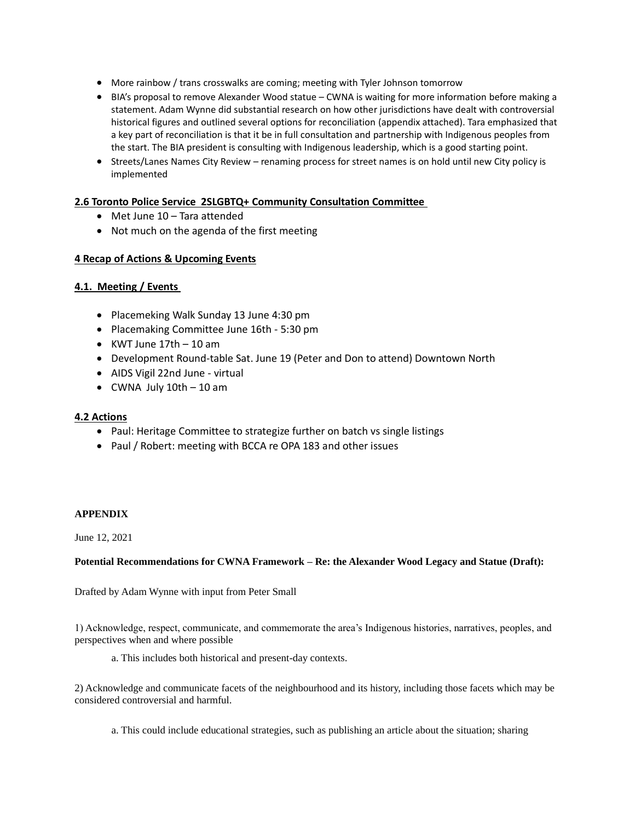- More rainbow / trans crosswalks are coming; meeting with Tyler Johnson tomorrow
- BIA's proposal to remove Alexander Wood statue CWNA is waiting for more information before making a statement. Adam Wynne did substantial research on how other jurisdictions have dealt with controversial historical figures and outlined several options for reconciliation (appendix attached). Tara emphasized that a key part of reconciliation is that it be in full consultation and partnership with Indigenous peoples from the start. The BIA president is consulting with Indigenous leadership, which is a good starting point.
- Streets/Lanes Names City Review renaming process for street names is on hold until new City policy is implemented

## **2.6 Toronto Police Service 2SLGBTQ+ Community Consultation Committee**

- Met June 10 Tara attended
- Not much on the agenda of the first meeting

## **4 Recap of Actions & Upcoming Events**

## **4.1. Meeting / Events**

- Placemeking Walk Sunday 13 June 4:30 pm
- Placemaking Committee June 16th 5:30 pm
- $\bullet$  KWT June 17th  $-$  10 am
- Development Round-table Sat. June 19 (Peter and Don to attend) Downtown North
- AIDS Vigil 22nd June virtual
- $\bullet$  CWNA July 10th  $-$  10 am

## **4.2 Actions**

- Paul: Heritage Committee to strategize further on batch vs single listings
- Paul / Robert: meeting with BCCA re OPA 183 and other issues

## **APPENDIX**

June 12, 2021

## **Potential Recommendations for CWNA Framework – Re: the Alexander Wood Legacy and Statue (Draft):**

Drafted by Adam Wynne with input from Peter Small

1) Acknowledge, respect, communicate, and commemorate the area's Indigenous histories, narratives, peoples, and perspectives when and where possible

a. This includes both historical and present-day contexts.

2) Acknowledge and communicate facets of the neighbourhood and its history, including those facets which may be considered controversial and harmful.

a. This could include educational strategies, such as publishing an article about the situation; sharing